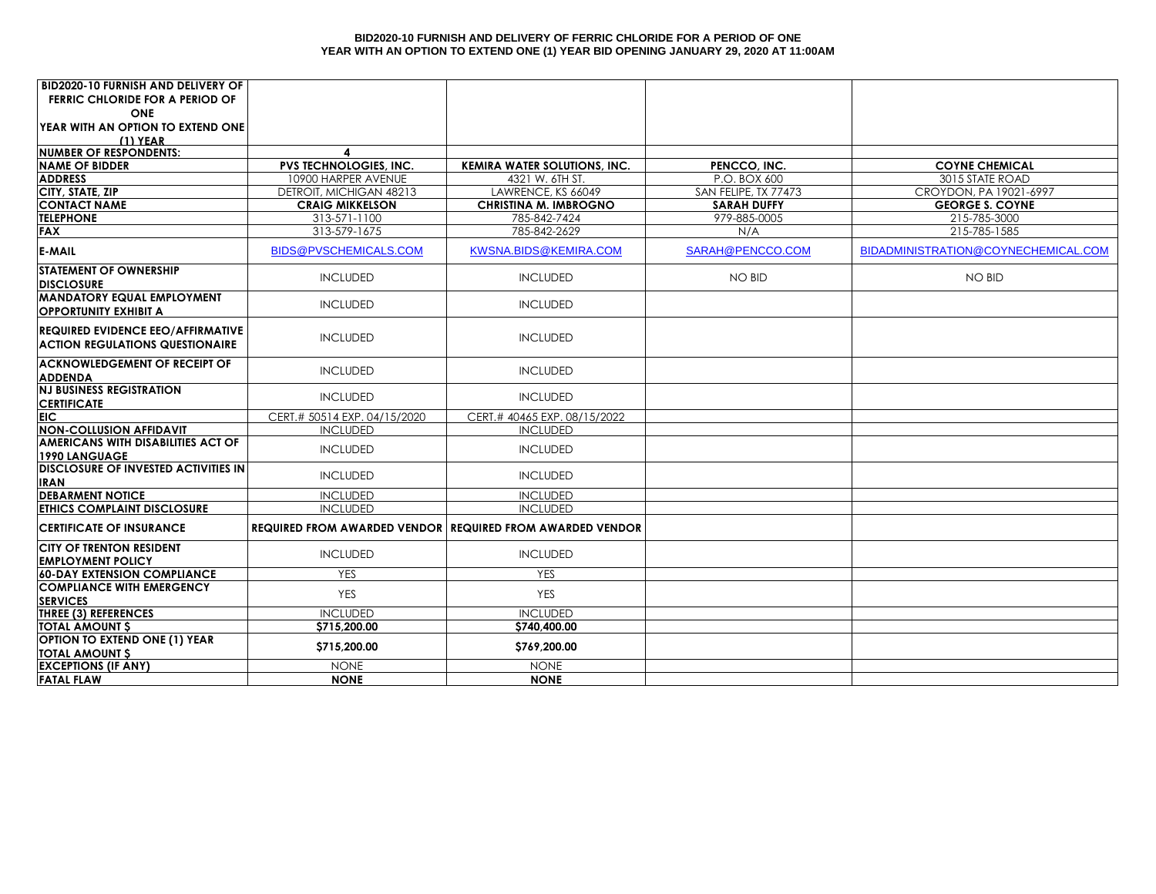#### **BID2020-10 FURNISH AND DELIVERY OF FERRIC CHLORIDE FOR A PERIOD OF ONE YEAR WITH AN OPTION TO EXTEND ONE (1) YEAR BID OPENING JANUARY 29, 2020 AT 11:00AM**

| <b>BID2020-10 FURNISH AND DELIVERY OF</b>                                          |                                                                  |                                                    |                                            |                                                  |
|------------------------------------------------------------------------------------|------------------------------------------------------------------|----------------------------------------------------|--------------------------------------------|--------------------------------------------------|
| <b>FERRIC CHLORIDE FOR A PERIOD OF</b>                                             |                                                                  |                                                    |                                            |                                                  |
| <b>ONE</b>                                                                         |                                                                  |                                                    |                                            |                                                  |
| YEAR WITH AN OPTION TO EXTEND ONE                                                  |                                                                  |                                                    |                                            |                                                  |
| $(1)$ YEAR                                                                         |                                                                  |                                                    |                                            |                                                  |
| <b>NUMBER OF RESPONDENTS:</b>                                                      | $\blacktriangle$                                                 |                                                    |                                            |                                                  |
| <b>NAME OF BIDDER</b>                                                              | <b>PVS TECHNOLOGIES, INC.</b>                                    | <b>KEMIRA WATER SOLUTIONS, INC.</b>                | PENCCO, INC.                               | <b>COYNE CHEMICAL</b>                            |
| <b>ADDRESS</b>                                                                     | 10900 HARPER AVENUE                                              | 4321 W. 6TH ST.                                    | P.O. BOX 600                               | 3015 STATE ROAD                                  |
| CITY, STATE, ZIP<br><b>CONTACT NAME</b>                                            | DETROIT, MICHIGAN 48213<br><b>CRAIG MIKKELSON</b>                | LAWRENCE, KS 66049<br><b>CHRISTINA M. IMBROGNO</b> | SAN FELIPE, TX 77473<br><b>SARAH DUFFY</b> | CROYDON, PA 19021-6997<br><b>GEORGE S. COYNE</b> |
| <b>TELEPHONE</b>                                                                   | 313-571-1100                                                     | 785-842-7424                                       | 979-885-0005                               | 215-785-3000                                     |
| FAX                                                                                | 313-579-1675                                                     | 785-842-2629                                       | N/A                                        | 215-785-1585                                     |
|                                                                                    |                                                                  |                                                    |                                            |                                                  |
| <b>E-MAIL</b>                                                                      | BIDS@PVSCHEMICALS.COM                                            | KWSNA.BIDS@KEMIRA.COM                              | SARAH@PENCCO.COM                           | BIDADMINISTRATION@COYNECHEMICAL.COM              |
| <b>STATEMENT OF OWNERSHIP</b><br><b>DISCLOSURE</b>                                 | <b>INCLUDED</b>                                                  | <b>INCLUDED</b>                                    | <b>NO BID</b>                              | <b>NO BID</b>                                    |
| <b>MANDATORY EQUAL EMPLOYMENT</b><br><b>OPPORTUNITY EXHIBIT A</b>                  | <b>INCLUDED</b>                                                  | <b>INCLUDED</b>                                    |                                            |                                                  |
| <b>REQUIRED EVIDENCE EEO/AFFIRMATIVE</b><br><b>ACTION REGULATIONS QUESTIONAIRE</b> | <b>INCLUDED</b>                                                  | <b>INCLUDED</b>                                    |                                            |                                                  |
| <b>ACKNOWLEDGEMENT OF RECEIPT OF</b><br><b>ADDENDA</b>                             | <b>INCLUDED</b>                                                  | <b>INCLUDED</b>                                    |                                            |                                                  |
| <b>NJ BUSINESS REGISTRATION</b><br><b>CERTIFICATE</b>                              | <b>INCLUDED</b>                                                  | <b>INCLUDED</b>                                    |                                            |                                                  |
| <b>EIC</b>                                                                         | CERT.# 50514 EXP. 04/15/2020                                     | CERT.# 40465 EXP. 08/15/2022                       |                                            |                                                  |
| <b>NON-COLLUSION AFFIDAVIT</b>                                                     | <b>INCLUDED</b>                                                  | <b>INCLUDED</b>                                    |                                            |                                                  |
| <b>AMERICANS WITH DISABILITIES ACT OF</b><br>1990 LANGUAGE                         | <b>INCLUDED</b>                                                  | <b>INCLUDED</b>                                    |                                            |                                                  |
| <b>DISCLOSURE OF INVESTED ACTIVITIES IN</b><br><b>IRAN</b>                         | <b>INCLUDED</b>                                                  | <b>INCLUDED</b>                                    |                                            |                                                  |
| <b>DEBARMENT NOTICE</b>                                                            | <b>INCLUDED</b>                                                  | <b>INCLUDED</b>                                    |                                            |                                                  |
| <b>ETHICS COMPLAINT DISCLOSURE</b>                                                 | <b>INCLUDED</b>                                                  | <b>INCLUDED</b>                                    |                                            |                                                  |
| <b>CERTIFICATE OF INSURANCE</b>                                                    | <b>REQUIRED FROM AWARDED VENDOR REQUIRED FROM AWARDED VENDOR</b> |                                                    |                                            |                                                  |
| <b>CITY OF TRENTON RESIDENT</b>                                                    | <b>INCLUDED</b>                                                  | <b>INCLUDED</b>                                    |                                            |                                                  |
| <b>EMPLOYMENT POLICY</b>                                                           |                                                                  |                                                    |                                            |                                                  |
| <b>60-DAY EXTENSION COMPLIANCE</b>                                                 | <b>YES</b>                                                       | <b>YES</b>                                         |                                            |                                                  |
| <b>COMPLIANCE WITH EMERGENCY</b><br><b>SERVICES</b>                                | <b>YES</b>                                                       | <b>YES</b>                                         |                                            |                                                  |
| THREE (3) REFERENCES                                                               | <b>INCLUDED</b>                                                  | <b>INCLUDED</b>                                    |                                            |                                                  |
| <b>TOTAL AMOUNT S</b>                                                              | \$715,200.00                                                     | \$740,400.00                                       |                                            |                                                  |
| <b>OPTION TO EXTEND ONE (1) YEAR</b>                                               |                                                                  |                                                    |                                            |                                                  |
| <b>TOTAL AMOUNT S</b>                                                              | \$715,200.00                                                     | \$769,200.00                                       |                                            |                                                  |
| <b>EXCEPTIONS (IF ANY)</b>                                                         | <b>NONE</b>                                                      | <b>NONE</b>                                        |                                            |                                                  |
| <b>FATAL FLAW</b>                                                                  | <b>NONE</b>                                                      | <b>NONE</b>                                        |                                            |                                                  |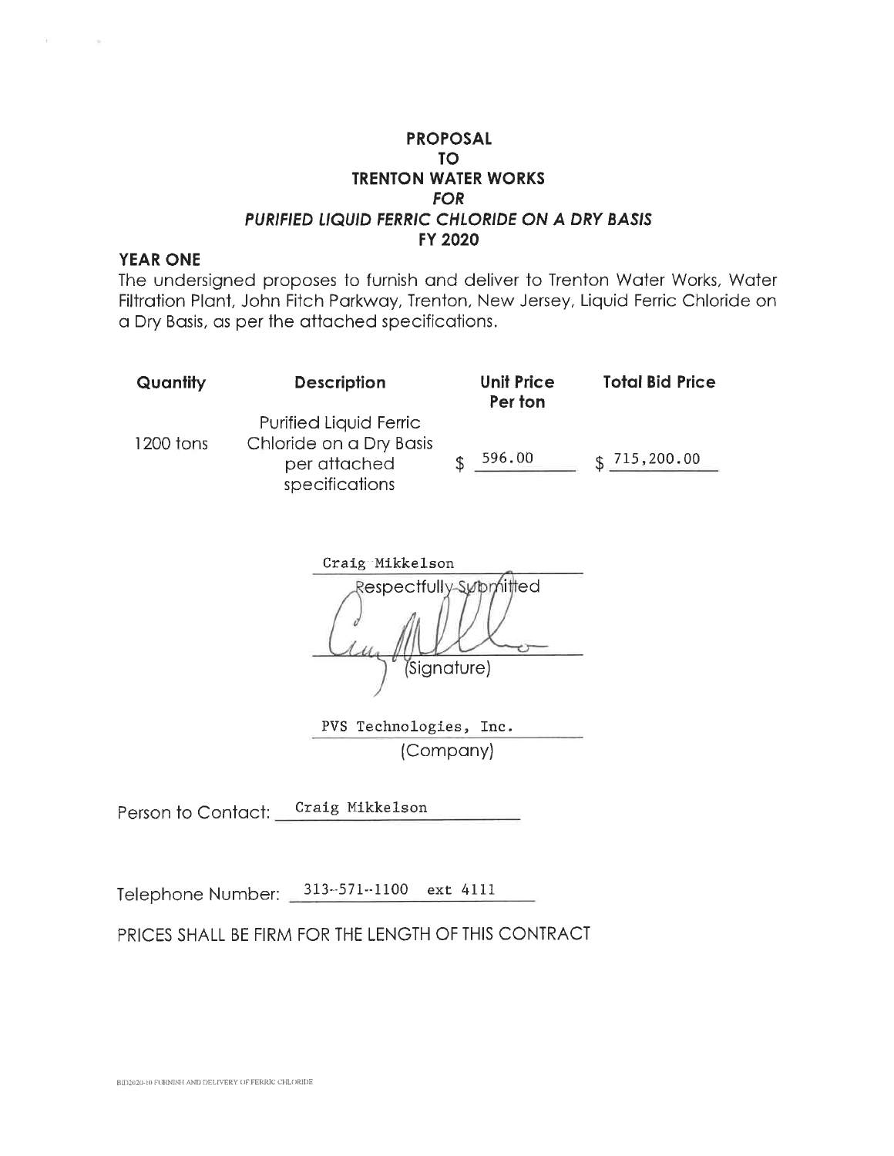### **YEAR ONE**

The undersigned proposes to furnish and deliver to Trenton Water Works, Water Filtration Plant, John Fitch Parkway, Trenton, New Jersey, Liquid Ferric Chloride on a Dry Basis, as per the attached specifications.

| Quantity  | <b>Description</b>                                                                         | <b>Unit Price</b><br>Per ton | <b>Total Bid Price</b> |
|-----------|--------------------------------------------------------------------------------------------|------------------------------|------------------------|
| 1200 tons | <b>Purified Liquid Ferric</b><br>Chloride on a Dry Basis<br>per attached<br>specifications | 596.00                       | 715,200.00             |

Craig Mikkelson Respectfully-Supphitted Signature)

PVS Technologies, Inc. (Company)

Craig Mikkelson Person to Contact:

Telephone Number: 313-571-1100 ext 4111

PRICES SHALL BE FIRM FOR THE LENGTH OF THIS CONTRACT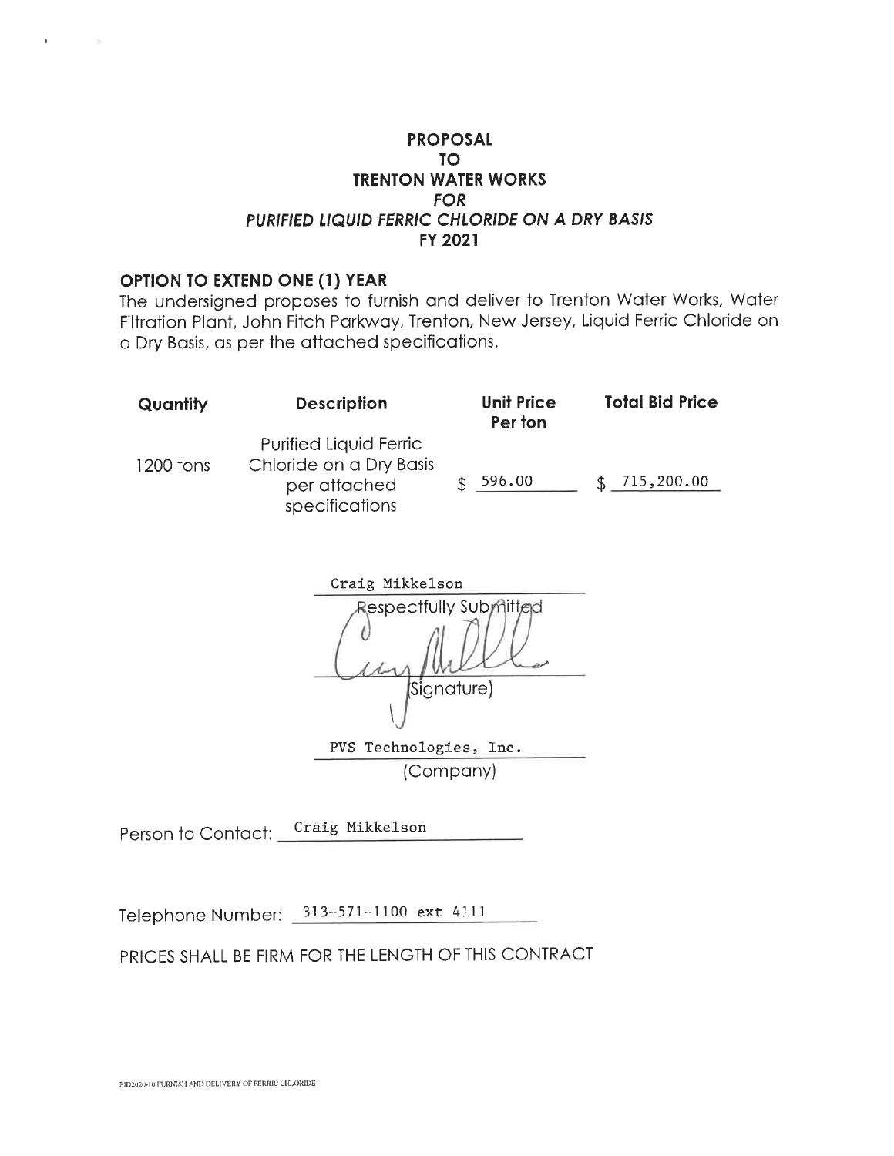### OPTION TO EXTEND ONE (1) YEAR

 $\mathbf{F}$ 

 $\sim$ 

The undersigned proposes to furnish and deliver to Trenton Water Works, Water Filtration Plant, John Fitch Parkway, Trenton, New Jersey, Liquid Ferric Chloride on a Dry Basis, as per the attached specifications.

| Quantity  | <b>Description</b>                                                                  | <b>Unit Price</b><br>Per ton | <b>Total Bid Price</b> |
|-----------|-------------------------------------------------------------------------------------|------------------------------|------------------------|
| 1200 tons | Purified Liquid Ferric<br>Chloride on a Dry Basis<br>per attached<br>specifications | 596.00                       | 715,200.00             |

Craig Mikkelson Respectfully Submitted Signature) PVS Technologies, Inc. (Company)

Person to Contact: Craig Mikkelson

Telephone Number: 313-571-1100 ext 4111

PRICES SHALL BE FIRM FOR THE LENGTH OF THIS CONTRACT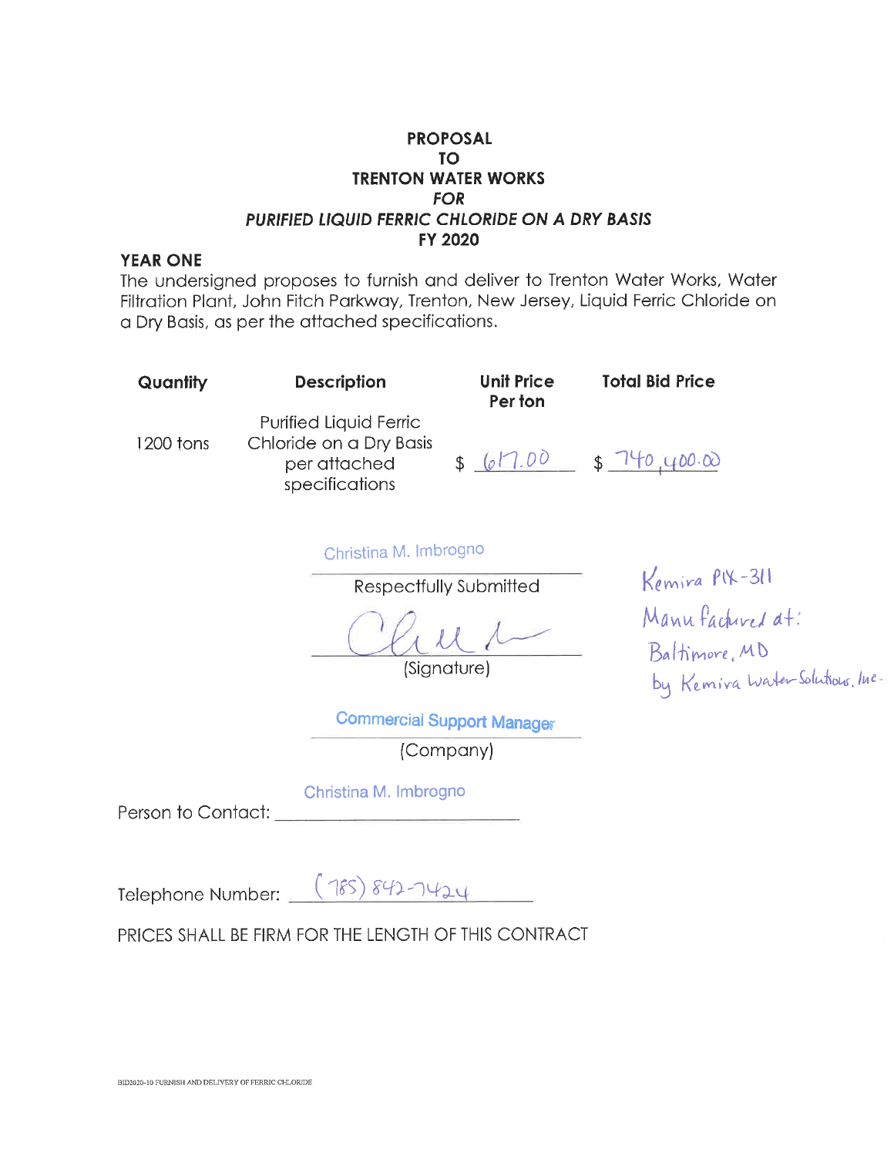#### **YEAR ONE**

The undersigned proposes to furnish and deliver to Trenton Water Works, Water Filtration Plant, John Fitch Parkway, Trenton, New Jersey, Liquid Ferric Chloride on a Dry Basis, as per the attached specifications.

| Quantity  | <b>Description</b>                                                                         | <b>Unit Price</b><br>Per ton | <b>Total Bid Price</b>                        |
|-----------|--------------------------------------------------------------------------------------------|------------------------------|-----------------------------------------------|
| 1200 tons | <b>Purified Liquid Ferric</b><br>Chloride on a Dry Basis<br>per attached<br>specifications | 617.00                       | 140.400.00<br>$\mathbb{S}$ $\bar{\mathbb{S}}$ |

Christina M. Imbrogno

Respectfully Submitted

(Signature)

**Commercial Support Manager** 

(Company)

Christina M. Imbrogno

Person to Contact:

Telephone Number: (185) 842-1424

PRICES SHALL BE FIRM FOR THE LENGTH OF THIS CONTRACT

Kemira PIX-311 Manufactured at: Baltimore, MD<br>by Kemira WaterSolutous, Inc.